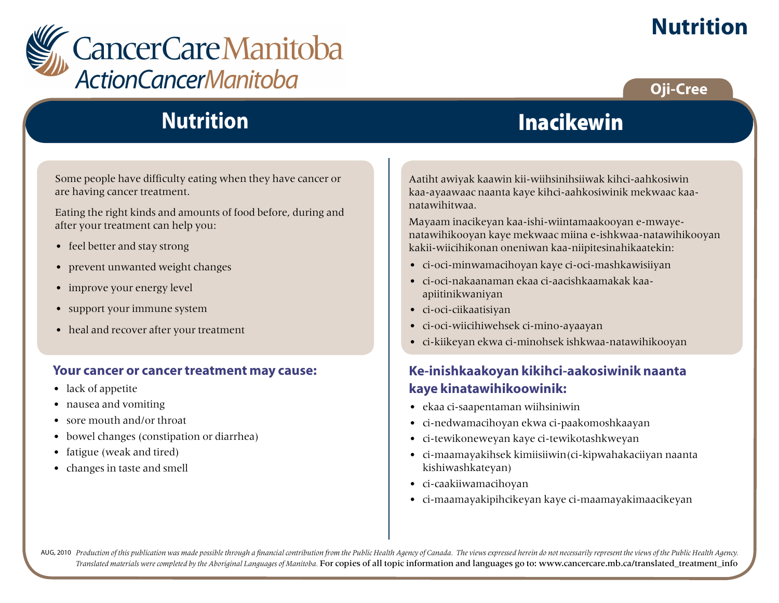

# **Nutrition**

### **Oji-Cree**

# **Nutrition**

Some people have difficulty eating when they have cancer or are having cancer treatment.

Eating the right kinds and amounts of food before, during and after your treatment can help you:

- feel better and stay strong
- prevent unwanted weight changes
- improve your energy level
- support your immune system
- heal and recover after your treatment

#### **Your cancer or cancer treatment may cause:**

- lack of appetite
- nausea and vomiting
- sore mouth and/or throat
- bowel changes (constipation or diarrhea)
- fatigue (weak and tired)
- changes in taste and smell

Aatiht awiyak kaawin kii-wiihsinihsiiwak kihci-aahkosiwin kaa-ayaawaac naanta kaye kihci-aahkosiwinik mekwaac kaanatawihitwaa.

Mayaam inacikeyan kaa-ishi-wiintamaakooyan e-mwayenatawihikooyan kaye mekwaac miina e-ishkwaa-natawihikooyan kakii-wiicihikonan oneniwan kaa-niipitesinahikaatekin:

Inacikewin

- ci-oci-minwamacihoyan kaye ci-oci-mashkawisiiyan
- ci-oci-nakaanaman ekaa ci-aacishkaamakak kaaapiitinikwaniyan
- ci-oci-ciikaatisiyan
- ci-oci-wiicihiwehsek ci-mino-ayaayan
- ci-kiikeyan ekwa ci-minohsek ishkwaa-natawihikooyan

#### **Ke-inishkaakoyan kikihci-aakosiwinik naanta kaye kinatawihikoowinik:**

- ekaa ci-saapentaman wiihsiniwin
- ci-nedwamacihoyan ekwa ci-paakomoshkaayan
- ci-tewikoneweyan kaye ci-tewikotashkweyan
- ci-maamayakihsek kimiisiiwin(ci-kipwahakaciiyan naanta kishiwashkateyan)
- ci-caakiiwamacihoyan
- ci-maamayakipihcikeyan kaye ci-maamayakimaacikeyan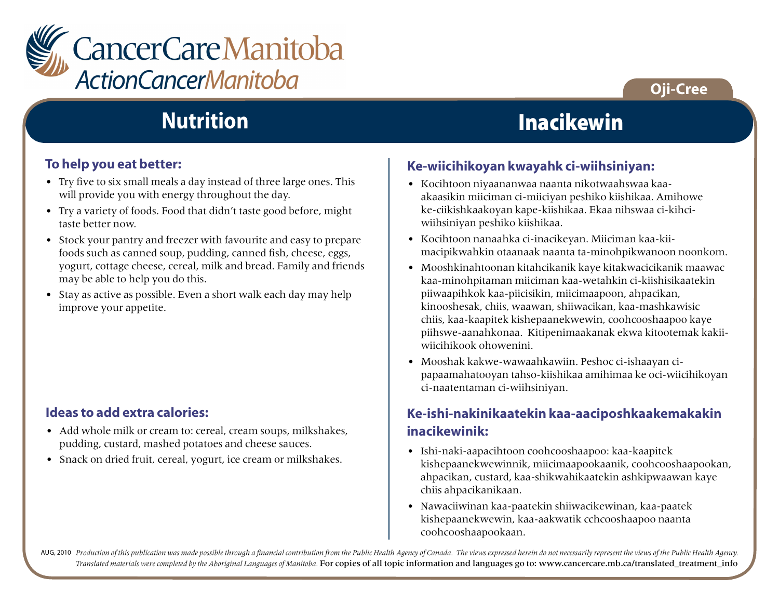

### **Oji-Cree**

# **Nutrition**

#### **To help you eat better:**

- Try five to six small meals a day instead of three large ones. This will provide you with energy throughout the day.
- Try a variety of foods. Food that didn't taste good before, might taste better now.
- Stock your pantry and freezer with favourite and easy to prepare foods such as canned soup, pudding, canned fish, cheese, eggs, yogurt, cottage cheese, cereal, milk and bread. Family and friends may be able to help you do this.
- Stay as active as possible. Even a short walk each day may help improve your appetite.

#### **Ideas to add extra calories:**

- Add whole milk or cream to: cereal, cream soups, milkshakes, pudding, custard, mashed potatoes and cheese sauces.
- Snack on dried fruit, cereal, yogurt, ice cream or milkshakes.

### Inacikewin

#### **Ke-wiicihikoyan kwayahk ci-wiihsiniyan:**

- Kocihtoon niyaananwaa naanta nikotwaahswaa kaaakaasikin miiciman ci-miiciyan peshiko kiishikaa. Amihowe ke-ciikishkaakoyan kape-kiishikaa. Ekaa nihswaa ci-kihciwiihsiniyan peshiko kiishikaa.
- Kocihtoon nanaahka ci-inacikeyan. Miiciman kaa-kiimacipikwahkin otaanaak naanta ta-minohpikwanoon noonkom.
- Mooshkinahtoonan kitahcikanik kaye kitakwacicikanik maawac kaa-minohpitaman miiciman kaa-wetahkin ci-kiishisikaatekin piiwaapihkok kaa-piicisikin, miicimaapoon, ahpacikan, kinooshesak, chiis, waawan, shiiwacikan, kaa-mashkawisic chiis, kaa-kaapitek kishepaanekwewin, coohcooshaapoo kaye piihswe-aanahkonaa. Kitipenimaakanak ekwa kitootemak kakiiwiicihikook ohowenini.
- Mooshak kakwe-wawaahkawiin. Peshoc ci-ishaayan cipapaamahatooyan tahso-kiishikaa amihimaa ke oci-wiicihikoyan ci-naatentaman ci-wiihsiniyan.

#### **Ke-ishi-nakinikaatekin kaa-aaciposhkaakemakakin inacikewinik:**

- Ishi-naki-aapacihtoon coohcooshaapoo: kaa-kaapitek kishepaanekwewinnik, miicimaapookaanik, coohcooshaapookan, ahpacikan, custard, kaa-shikwahikaatekin ashkipwaawan kaye chiis ahpacikanikaan.
- Nawaciiwinan kaa-paatekin shiiwacikewinan, kaa-paatek kishepaanekwewin, kaa-aakwatik cchcooshaapoo naanta coohcooshaapookaan.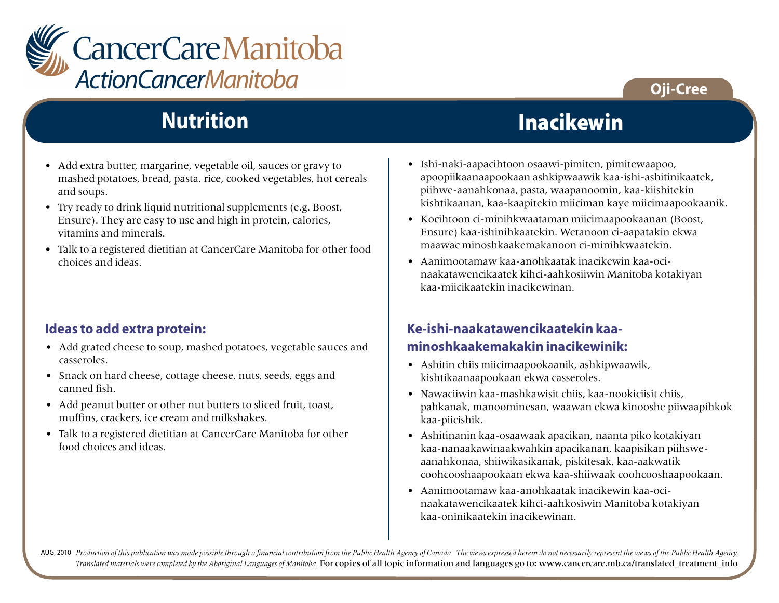

### **Oji-Cree**

# **Nutrition**

- Add extra butter, margarine, vegetable oil, sauces or gravy to mashed potatoes, bread, pasta, rice, cooked vegetables, hot cereals and soups.
- Try ready to drink liquid nutritional supplements (e.g. Boost, Ensure). They are easy to use and high in protein, calories, vitamins and minerals.
- Talk to a registered dietitian at CancerCare Manitoba for other food choices and ideas.

#### **Ideas to add extra protein:**

- Add grated cheese to soup, mashed potatoes, vegetable sauces and casseroles.
- Snack on hard cheese, cottage cheese, nuts, seeds, eggs and canned fish.
- Add peanut butter or other nut butters to sliced fruit, toast, muffins, crackers, ice cream and milkshakes.
- Talk to a registered dietitian at CancerCare Manitoba for other food choices and ideas.

### **Inacikewin**

- Ishi-naki-aapacihtoon osaawi-pimiten, pimitewaapoo, apoopiikaanaapookaan ashkipwaawik kaa-ishi-ashitinikaatek, piihwe-aanahkonaa, pasta, waapanoomin, kaa-kiishitekin kishtikaanan, kaa-kaapitekin miiciman kaye miicimaapookaanik.
- Kocihtoon ci-minihkwaataman miicimaapookaanan (Boost, Ensure) kaa-ishinihkaatekin. Wetanoon ci-aapatakin ekwa maawac minoshkaakemakanoon ci-minihkwaatekin.
- Aanimootamaw kaa-anohkaatak inacikewin kaa-ocinaakatawencikaatek kihci-aahkosiiwin Manitoba kotakiyan kaa-miicikaatekin inacikewinan.

#### **Ke-ishi-naakatawencikaatekin kaaminoshkaakemakakin inacikewinik:**

- Ashitin chiis miicimaapookaanik, ashkipwaawik, kishtikaanaapookaan ekwa casseroles.
- Nawaciiwin kaa-mashkawisit chiis, kaa-nookiciisit chiis, pahkanak, manoominesan, waawan ekwa kinooshe piiwaapihkok kaa-piicishik.
- Ashitinanin kaa-osaawaak apacikan, naanta piko kotakiyan kaa-nanaakawinaakwahkin apacikanan, kaapisikan piihsweaanahkonaa, shiiwikasikanak, piskitesak, kaa-aakwatik coohcooshaapookaan ekwa kaa-shiiwaak coohcooshaapookaan.
- Aanimootamaw kaa-anohkaatak inacikewin kaa-ocinaakatawencikaatek kihci-aahkosiwin Manitoba kotakiyan kaa-oninikaatekin inacikewinan.